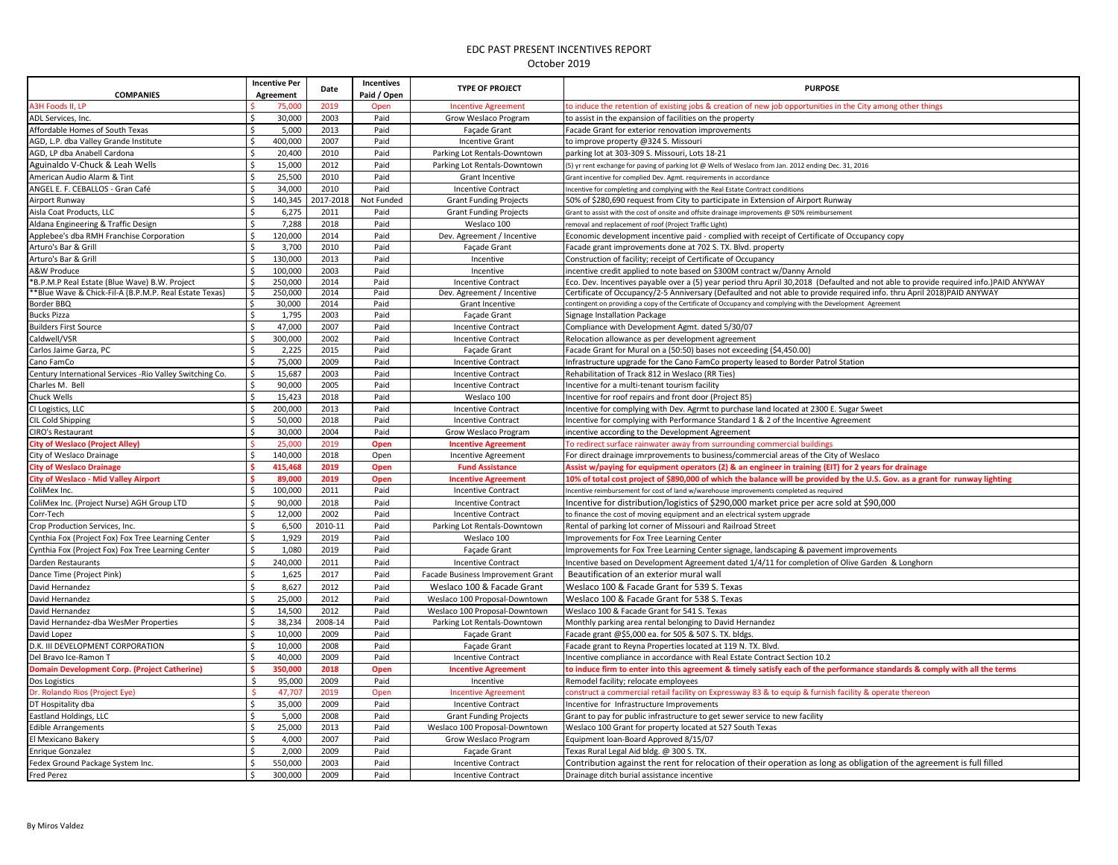| <b>COMPANIES</b>                                          | <b>Incentive Per</b><br>Agreement | Date      | Incentives<br>Paid / Open | <b>TYPE OF PROJECT</b>            | <b>PURPOSE</b>                                                                                                                       |
|-----------------------------------------------------------|-----------------------------------|-----------|---------------------------|-----------------------------------|--------------------------------------------------------------------------------------------------------------------------------------|
| A3H Foods II, LP                                          | 75,000                            | 2019      | Oper                      | <b>Incentive Agreement</b>        | to induce the retention of existing jobs & creation of new job opportunities in the City among other thing                           |
| ADL Services, Inc.                                        | 30,000<br>ς.                      | 2003      | Paid                      | Grow Weslaco Program              | to assist in the expansion of facilities on the property                                                                             |
| Affordable Homes of South Texas                           | Ŝ.<br>5.000                       | 2013      | Paid                      | Façade Grant                      | Facade Grant for exterior renovation improvements                                                                                    |
| AGD, L.P. dba Valley Grande Institute                     | \$<br>400,000                     | 2007      | Paid                      | <b>Incentive Grant</b>            | to improve property @324 S. Missouri                                                                                                 |
| AGD, LP dba Anabell Cardona                               | Ŝ.<br>20,400                      | 2010      | Paid                      | Parking Lot Rentals-Downtown      | parking lot at 303-309 S. Missouri, Lots 18-21                                                                                       |
| Aguinaldo V-Chuck & Leah Wells                            | Ś<br>15,000                       | 2012      | Paid                      | Parking Lot Rentals-Downtown      | (5) yr rent exchange for paving of parking lot @ Wells of Weslaco from Jan. 2012 ending Dec. 31, 2016                                |
| American Audio Alarm & Tint                               | Ŝ.<br>25,500                      | 2010      | Paid                      | <b>Grant Incentive</b>            | Grant incentive for complied Dev. Agmt. requirements in accordance                                                                   |
| ANGEL E. F. CEBALLOS - Gran Café                          | Ś<br>34,000                       | 2010      | Paid                      | <b>Incentive Contract</b>         | Incentive for completing and complying with the Real Estate Contract conditions                                                      |
| Airport Runway                                            | \$<br>140,345                     | 2017-2018 | Not Funded                | <b>Grant Funding Projects</b>     | 50% of \$280,690 request from City to participate in Extension of Airport Runway                                                     |
| Aisla Coat Products, LLC                                  | Ś<br>6,275                        | 2011      | Paid                      | <b>Grant Funding Projects</b>     | Grant to assist with the cost of onsite and offsite drainage improvements @ 50% reimbursement                                        |
| Aldana Engineering & Traffic Design                       | Ś<br>7,288                        | 2018      | Paid                      | Weslaco 100                       | removal and replacement of roof (Project Traffic Light)                                                                              |
| Applebee's dba RMH Franchise Corporation                  | $\mathsf{\hat{S}}$<br>120,000     | 2014      | Paid                      | Dev. Agreement / Incentive        | Economic development incentive paid - complied with receipt of Certificate of Occupancy copy                                         |
| Arturo's Bar & Grill                                      | \$<br>3,700                       | 2010      | Paid                      | <b>Façade Grant</b>               | Facade grant improvements done at 702 S. TX. Blvd. property                                                                          |
| Arturo's Bar & Grill                                      | Ŝ.<br>130,000                     | 2013      | Paid                      | Incentive                         | Construction of facility; receipt of Certificate of Occupancy                                                                        |
| A&W Produce                                               | Ŝ.<br>100,000                     | 2003      | Paid                      | Incentive                         | incentive credit applied to note based on \$300M contract w/Danny Arnold                                                             |
| *B.P.M.P Real Estate (Blue Wave) B.W. Project             | Ś<br>250,000                      | 2014      | Paid                      | <b>Incentive Contract</b>         | Eco. Dev. Incentives payable over a (5) year period thru April 30,2018 (Defaulted and not able to provide required info.)PAID ANYWAY |
| *Blue Wave & Chick-Fil-A (B.P.M.P. Real Estate Texas)     | 250,000<br>\$                     | 2014      | Paid                      | Dev. Agreement / Incentive        | Certificate of Occupancy/2-5 Anniversary (Defaulted and not able to provide required info. thru April 2018)PAID ANYWAY               |
| Border BBQ                                                | 30,000<br>\$                      | 2014      | Paid                      | Grant Incentive                   | contingent on providing a copy of the Certificate of Occupancy and complying with the Development Agreement                          |
| <b>Bucks Pizza</b>                                        | Ś<br>1,795                        | 2003      | Paid                      | Façade Grant                      | Signage Installation Package                                                                                                         |
| <b>Builders First Source</b>                              | Ś<br>47,000                       | 2007      | Paid                      | <b>Incentive Contract</b>         | Compliance with Development Agmt. dated 5/30/07                                                                                      |
| Caldwell/VSR                                              | Ś<br>300,000                      | 2002      | Paid                      | <b>Incentive Contract</b>         | Relocation allowance as per development agreement                                                                                    |
| Carlos Jaime Garza, PC                                    | 2,225<br>Ś                        | 2015      | Paid                      | <b>Facade Grant</b>               | Facade Grant for Mural on a (50:50) bases not exceeding (\$4,450.00)                                                                 |
| Cano FamCo                                                | <sub>S</sub><br>75,000            | 2009      | Paid                      | <b>Incentive Contract</b>         | Infrastructure upgrade for the Cano FamCo property leased to Border Patrol Station                                                   |
| Century International Services - Rio Valley Switching Co. | Ś<br>15,687                       | 2003      | Paid                      | <b>Incentive Contract</b>         | Rehabilitation of Track 812 in Weslaco (RR Ties)                                                                                     |
| Charles M. Bell                                           | -Ś<br>90,000                      | 2005      | Paid                      | <b>Incentive Contract</b>         | Incentive for a multi-tenant tourism facility                                                                                        |
| Chuck Wells                                               | Ś.<br>15,423                      | 2018      | Paid                      | Weslaco 100                       | Incentive for roof repairs and front door (Project 85)                                                                               |
| CI Logistics, LLC                                         | \$<br>200,000                     | 2013      | Paid                      | <b>Incentive Contract</b>         | Incentive for complying with Dev. Agrmt to purchase land located at 2300 E. Sugar Sweet                                              |
| CIL Cold Shipping                                         | 50,000<br>\$                      | 2018      | Paid                      | <b>Incentive Contract</b>         | Incentive for complying with Performance Standard 1 & 2 of the Incentive Agreement                                                   |
| <b>CIRO's Restaurant</b>                                  | Ś<br>30,000                       | 2004      | Paid                      | Grow Weslaco Program              | incentive according to the Development Agreement                                                                                     |
| <b>City of Weslaco (Project Alley)</b>                    | 25,000                            | 2019      | Open                      | <b>Incentive Agreement</b>        | To redirect surface rainwater away from surrounding commercial buildings                                                             |
| City of Weslaco Drainage                                  | 140,000<br>\$                     | 2018      | Open                      | Incentive Agreement               | For direct drainage imrprovements to business/commercial areas of the City of Weslaco                                                |
| <b>City of Weslaco Drainage</b>                           | 415,468                           | 2019      | Open                      | <b>Fund Assistance</b>            | Assist w/paying for equipment operators (2) & an engineer in training (EIT) for 2 years for drainage                                 |
| <b>City of Weslaco - Mid Valley Airport</b>               | 89,000                            | 2019      | Open                      | <b>Incentive Agreement</b>        | 10% of total cost project of \$890,000 of which the balance will be provided by the U.S. Gov. as a grant for runway lighting         |
| ColiMex Inc.                                              | 100,000<br>Ś                      | 2011      | Paid                      | <b>Incentive Contract</b>         | Incentive reimbursement for cost of land w/warehouse improvements completed as required                                              |
| ColiMex Inc. (Project Nurse) AGH Group LTD                | Ś.<br>90,000                      | 2018      | Paid                      | <b>Incentive Contract</b>         | Incentive for distribution/logistics of \$290,000 market price per acre sold at \$90,000                                             |
| Corr-Tech                                                 | 12,000<br>\$                      | 2002      | Paid                      | <b>Incentive Contract</b>         | to finance the cost of moving equipment and an electrical system upgrade                                                             |
| Crop Production Services, Inc.                            | 6,500<br>S,                       | 2010-11   | Paid                      | Parking Lot Rentals-Downtown      | Rental of parking lot corner of Missouri and Railroad Street                                                                         |
| Cynthia Fox (Project Fox) Fox Tree Learning Center        | \$<br>1,929                       | 2019      | Paid                      | Weslaco 100                       | Improvements for Fox Tree Learning Center                                                                                            |
| Cynthia Fox (Project Fox) Fox Tree Learning Center        | $\mathsf{S}$<br>1,080             | 2019      | Paid                      | Façade Grant                      | Improvements for Fox Tree Learning Center signage, landscaping & pavement improvements                                               |
|                                                           |                                   |           |                           |                                   |                                                                                                                                      |
| Darden Restaurants                                        | $\mathsf{s}$<br>240,000           | 2011      | Paid                      | <b>Incentive Contract</b>         | Incentive based on Development Agreement dated 1/4/11 for completion of Olive Garden & Longhorn                                      |
| Dance Time (Project Pink)                                 | Ś<br>1,625                        | 2017      | Paid                      | Facade Business Improvement Grant | Beautification of an exterior mural wall                                                                                             |
| David Hernandez                                           | \$<br>8,627                       | 2012      | Paid                      | Weslaco 100 & Facade Grant        | Weslaco 100 & Facade Grant for 539 S. Texas                                                                                          |
| David Hernandez                                           | Ś<br>25,000                       | 2012      | Paid                      | Weslaco 100 Proposal-Downtown     | Weslaco 100 & Facade Grant for 538 S. Texas                                                                                          |
| David Hernandez                                           | 14,500<br>Ś.                      | 2012      | Paid                      | Weslaco 100 Proposal-Downtown     | Weslaco 100 & Facade Grant for 541 S. Texas                                                                                          |
| David Hernandez-dba WesMer Properties                     | Ś<br>38,234                       | 2008-14   | Paid                      | Parking Lot Rentals-Downtown      | Monthly parking area rental belonging to David Hernandez                                                                             |
| David Lopez                                               | \$<br>10,000                      | 2009      | Paid                      | Façade Grant                      | Facade grant @\$5,000 ea. for 505 & 507 S. TX. bldgs                                                                                 |
| D.K. III DEVELOPMENT CORPORATION                          | \$<br>10,000                      | 2008      | Paid                      | <b>Facade Grant</b>               | Facade grant to Reyna Properties located at 119 N. TX. Blvd.                                                                         |
| Del Bravo Ice-Ramon T                                     | Ŝ.<br>40,000                      | 2009      | Paid                      | <b>Incentive Contract</b>         | Incentive compliance in accordance with Real Estate Contract Section 10.2                                                            |
| Domain Development Corp. (Project Catherine)              | Ś<br>350,000                      | 2018      | Open                      | <b>Incentive Agreement</b>        | o induce firm to enter into this agreement & timely satisfy each of the performance standards & comply with all the terms            |
| Dos Logistics                                             | 95,000<br>\$.                     | 2009      | Paid                      | Incentive                         | Remodel facility; relocate employees                                                                                                 |
| Dr. Rolando Rios (Project Eye)                            | Š.<br>47.707                      | 2019      | Open                      | <b>Incentive Agreement</b>        | construct a commercial retail facility on Expressway 83 & to equip & furnish facility & operate thereon                              |
| DT Hospitality dba                                        | Ŝ.<br>35,000                      | 2009      | Paid                      | <b>Incentive Contract</b>         | Incentive for Infrastructure Improvements                                                                                            |
| Eastland Holdings, LLC                                    | \$<br>5,000                       | 2008      | Paid                      | <b>Grant Funding Projects</b>     | Grant to pay for public infrastructure to get sewer service to new facility                                                          |
| <b>Edible Arrangements</b>                                | \$<br>25,000                      | 2013      | Paid                      | Weslaco 100 Proposal-Downtown     | Weslaco 100 Grant for property located at 527 South Texas                                                                            |
| El Mexicano Bakery                                        | Ś<br>4,000                        | 2007      | Paid                      | Grow Weslaco Program              | Equipment loan-Board Approved 8/15/07                                                                                                |
| <b>Enrique Gonzalez</b>                                   | Ś<br>2,000                        | 2009      | Paid                      | <b>Facade Grant</b>               | Texas Rural Legal Aid bldg. @ 300 S. TX.                                                                                             |
| Fedex Ground Package System Inc.                          | $\zeta$<br>550,000                | 2003      | Paid                      | <b>Incentive Contract</b>         | Contribution against the rent for relocation of their operation as long as obligation of the agreement is full filled                |
| <b>Fred Perez</b>                                         | 300,000<br>Ŝ.                     | 2009      | Paid                      | <b>Incentive Contract</b>         | Drainage ditch burial assistance incentive                                                                                           |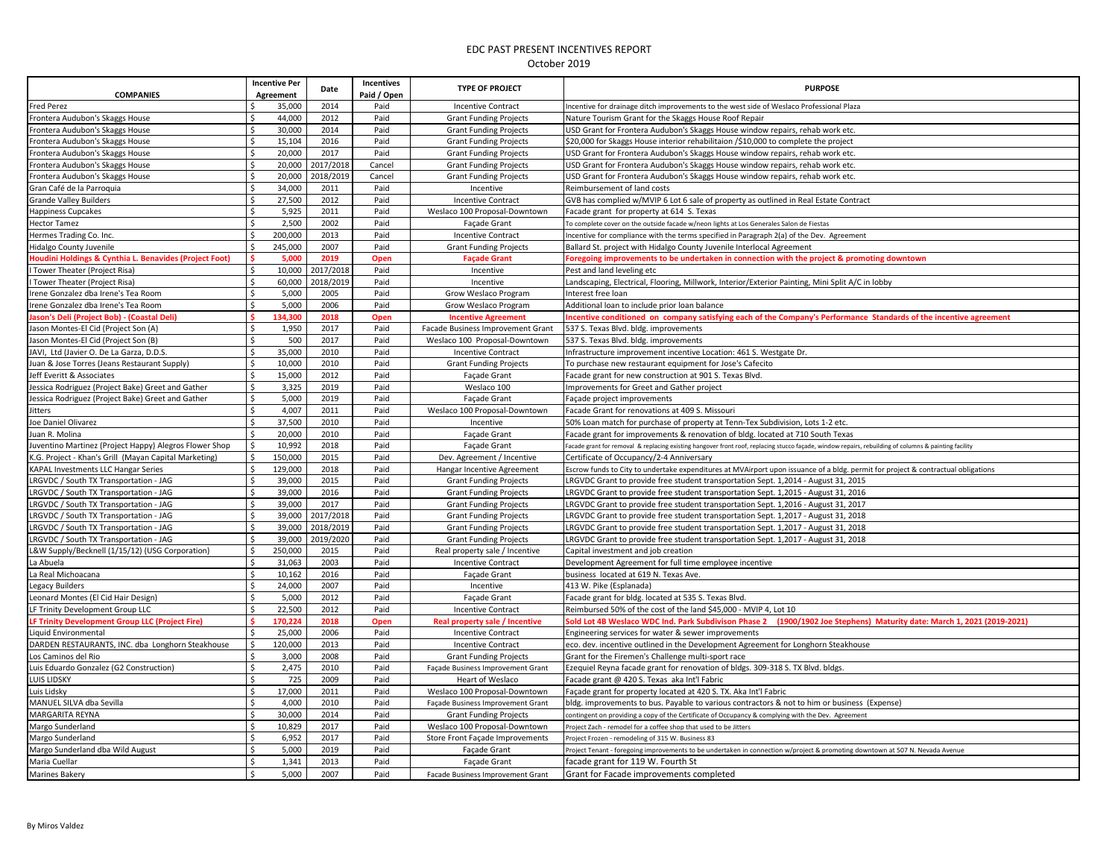| <b>COMPANIES</b>                                       |                    | <b>Incentive Per</b><br>Agreement | Date      | Incentives<br>Paid / Open | <b>TYPE OF PROJECT</b>            | <b>PURPOSE</b>                                                                                                                                        |
|--------------------------------------------------------|--------------------|-----------------------------------|-----------|---------------------------|-----------------------------------|-------------------------------------------------------------------------------------------------------------------------------------------------------|
| Fred Perez                                             |                    | 35,000                            | 2014      | Paid                      | <b>Incentive Contract</b>         | Incentive for drainage ditch improvements to the west side of Weslaco Professional Plaza                                                              |
| Frontera Audubon's Skaggs House                        |                    | 44,000                            | 2012      | Paid                      | <b>Grant Funding Projects</b>     | Nature Tourism Grant for the Skaggs House Roof Repair                                                                                                 |
| rontera Audubon's Skaggs House                         |                    | 30,000                            | 2014      | Paid                      | <b>Grant Funding Projects</b>     | USD Grant for Frontera Audubon's Skaggs House window repairs, rehab work etc.                                                                         |
| Frontera Audubon's Skaggs House                        | Ś                  | 15,104                            | 2016      | Paid                      | <b>Grant Funding Projects</b>     | \$20,000 for Skaggs House interior rehabilitaion /\$10,000 to complete the project                                                                    |
| Frontera Audubon's Skaggs House                        | Ś                  | 20,000                            | 2017      | Paid                      | <b>Grant Funding Projects</b>     | USD Grant for Frontera Audubon's Skaggs House window repairs, rehab work etc.                                                                         |
| Frontera Audubon's Skaggs House                        | $\mathsf{s}$       | 20,000                            | 2017/2018 | Cancel                    | <b>Grant Funding Projects</b>     | USD Grant for Frontera Audubon's Skaggs House window repairs, rehab work etc.                                                                         |
| Frontera Audubon's Skaggs House                        | \$                 | 20,000                            | 2018/2019 | Cancel                    | <b>Grant Funding Projects</b>     | USD Grant for Frontera Audubon's Skaggs House window repairs, rehab work etc.                                                                         |
| Gran Café de la Parroquia                              | Ŝ.                 | 34,000                            | 2011      | Paid                      | Incentive                         | Reimbursement of land costs                                                                                                                           |
| Grande Valley Builders                                 | $\mathsf{s}$       | 27,500                            | 2012      | Paid                      | <b>Incentive Contract</b>         | GVB has complied w/MVIP 6 Lot 6 sale of property as outlined in Real Estate Contract                                                                  |
| Happiness Cupcakes                                     | $\mathsf{s}$       | 5,925                             | 2011      | Paid                      | Weslaco 100 Proposal-Downtown     | Facade grant for property at 614 S. Texas                                                                                                             |
| Hector Tamez                                           | Ś                  | 2,500                             | 2002      | Paid                      | Façade Grant                      | To complete cover on the outside facade w/neon lights at Los Generales Salon de Fiestas                                                               |
| Hermes Trading Co. Inc.                                | Ś.                 | 200,000                           | 2013      | Paid                      | <b>Incentive Contract</b>         | Incentive for compliance with the terms specified in Paragraph 2(a) of the Dev. Agreement                                                             |
| Hidalgo County Juvenile                                | Ś                  | 245,000                           | 2007      | Paid                      | <b>Grant Funding Projects</b>     | Ballard St. project with Hidalgo County Juvenile Interlocal Agreement                                                                                 |
| Houdini Holdings & Cynthia L. Benavides (Project Foot) |                    | 5,000                             | 2019      | Open                      | <b>Façade Grant</b>               | Foregoing improvements to be undertaken in connection with the project & promoting downtown                                                           |
| Tower Theater (Project Risa)                           | Ś                  | 10,000                            | 2017/2018 | Paid                      | Incentive                         | Pest and land leveling etc                                                                                                                            |
| Tower Theater (Project Risa)                           | Ś.                 | 60,000                            | 2018/2019 | Paid                      | Incentive                         | Landscaping, Electrical, Flooring, Millwork, Interior/Exterior Painting, Mini Split A/C in lobby                                                      |
| rene Gonzalez dba Irene's Tea Room                     | $\mathsf{s}$       | 5,000                             | 2005      | Paid                      | Grow Weslaco Program              | Interest free loan                                                                                                                                    |
| Irene Gonzalez dba Irene's Tea Room                    | Ŝ.                 | 5,000                             | 2006      | Paid                      | Grow Weslaco Program              | Additional loan to include prior loan balance                                                                                                         |
| lason's Deli (Project Bob) - (Coastal Deli)            | Ś                  | 134,300                           | 2018      | Open                      | <b>Incentive Agreement</b>        | ncentive conditioned on company satisfying each of the Company's Performance Standards of the incentive agreement                                     |
| Jason Montes-El Cid (Project Son (A)                   | Ŝ.                 | 1,950                             | 2017      | Paid                      | Facade Business Improvement Grant | 537 S. Texas Blvd. bldg. improvements                                                                                                                 |
| lason Montes-El Cid (Project Son (B)                   | $\mathsf{s}$       | 500                               | 2017      | Paid                      | Weslaco 100 Proposal-Downtown     | 537 S. Texas Blvd. bldg. improvements                                                                                                                 |
| JAVI. Ltd (Javier O. De La Garza, D.D.S.               | $\mathsf{s}$       | 35,000                            | 2010      | Paid                      | <b>Incentive Contract</b>         | Infrastructure improvement incentive Location: 461 S. Westgate Dr.                                                                                    |
| Juan & Jose Torres (Jeans Restaurant Supply)           | $\hat{\mathsf{S}}$ | 10,000                            | 2010      | Paid                      | <b>Grant Funding Projects</b>     | To purchase new restaurant equipment for Jose's Cafecito                                                                                              |
| Jeff Everitt & Associates                              | \$                 | 15,000                            | 2012      | Paid                      | <b>Facade Grant</b>               | Facade grant for new construction at 901 S. Texas Blvd.                                                                                               |
| lessica Rodriguez (Project Bake) Greet and Gather      | \$                 | 3,325                             | 2019      | Paid                      | Weslaco 100                       | mprovements for Greet and Gather project                                                                                                              |
| Jessica Rodriguez (Project Bake) Greet and Gather      | \$                 | 5,000                             | 2019      | Paid                      | <b>Facade Grant</b>               | Facade project improvements                                                                                                                           |
| Jitters                                                | $\mathsf{\hat{S}}$ | 4.007                             | 2011      | Paid                      | Weslaco 100 Proposal-Downtown     | Facade Grant for renovations at 409 S. Missouri                                                                                                       |
| Joe Daniel Olivarez                                    | Ś                  | 37,500                            | 2010      | Paid                      | Incentive                         | 50% Loan match for purchase of property at Tenn-Tex Subdivision, Lots 1-2 etc.                                                                        |
| Juan R. Molina                                         |                    | 20,000                            | 2010      | Paid                      | Façade Grant                      | Facade grant for improvements & renovation of bldg. located at 710 South Texas                                                                        |
| Juventino Martinez (Project Happy) Alegros Flower Shop |                    | 10,992                            | 2018      | Paid                      | <b>Façade Grant</b>               | Facade grant for removal & replacing existing hangover front roof, replacing stucco façade, window repairs, rebuilding of columns & painting facility |
| K.G. Project - Khan's Grill (Mayan Capital Marketing)  | Ś,                 | 150,000                           | 2015      | Paid                      | Dev. Agreement / Incentive        | Certificate of Occupancy/2-4 Anniversary                                                                                                              |
| <b>KAPAL Investments LLC Hangar Series</b>             | Ś                  | 129,000                           | 2018      | Paid                      | Hangar Incentive Agreement        | Escrow funds to City to undertake expenditures at MVAirport upon issuance of a bldg. permit for project & contractual obligations                     |
| LRGVDC / South TX Transportation - JAG                 | \$                 | 39,000                            | 2015      | Paid                      | <b>Grant Funding Projects</b>     | LRGVDC Grant to provide free student transportation Sept. 1,2014 - August 31, 2015                                                                    |
| RGVDC / South TX Transportation - JAG                  | Ś                  | 39,000                            | 2016      | Paid                      | <b>Grant Funding Projects</b>     | LRGVDC Grant to provide free student transportation Sept. 1,2015 - August 31, 2016                                                                    |
| LRGVDC / South TX Transportation - JAG                 | Ś                  | 39,000                            | 2017      | Paid                      | <b>Grant Funding Projects</b>     | LRGVDC Grant to provide free student transportation Sept. 1,2016 - August 31, 2017                                                                    |
| RGVDC / South TX Transportation - JAG                  |                    | 39,000                            | 2017/2018 | Paid                      | <b>Grant Funding Projects</b>     | LRGVDC Grant to provide free student transportation Sept. 1,2017 - August 31, 2018                                                                    |
| LRGVDC / South TX Transportation - JAG                 | Ś                  | 39,000                            | 2018/2019 | Paid                      | <b>Grant Funding Projects</b>     | LRGVDC Grant to provide free student transportation Sept. 1,2017 - August 31, 2018                                                                    |
| RGVDC / South TX Transportation - JAG                  | Ś                  | 39,000                            | 2019/2020 | Paid                      | <b>Grant Funding Projects</b>     | LRGVDC Grant to provide free student transportation Sept. 1,2017 - August 31, 2018                                                                    |
| L&W Supply/Becknell (1/15/12) (USG Corporation)        | \$                 | 250,000                           | 2015      | Paid                      | Real property sale / Incentive    | Capital investment and job creation                                                                                                                   |
| La Abuela                                              | $\mathsf{s}$       | 31,063                            | 2003      | Paid                      | <b>Incentive Contract</b>         | Development Agreement for full time employee incentive                                                                                                |
| La Real Michoacana                                     | Ŝ.                 | 10,162                            | 2016      | Paid                      | Façade Grant                      | business located at 619 N. Texas Ave.                                                                                                                 |
| Legacy Builders                                        | Ś                  | 24,000                            | 2007      | Paid                      | Incentive                         | 413 W. Pike (Esplanada)                                                                                                                               |
| Leonard Montes (El Cid Hair Design)                    | Ŝ.                 | 5,000                             | 2012      | Paid                      | Façade Grant                      | Facade grant for bldg. located at 535 S. Texas Blvd.                                                                                                  |
| LF Trinity Development Group LLC                       | $\zeta$            | 22,500                            | 2012      | Paid                      | <b>Incentive Contract</b>         | Reimbursed 50% of the cost of the land \$45,000 - MVIP 4, Lot 10                                                                                      |
| LF Trinity Development Group LLC (Project Fire)        | ¢.                 | 170.224                           | 2018      | Open                      | Real property sale / Incentive    | old Lot 4B Weslaco WDC Ind. Park Subdivison Phase 2 (1900/1902 Joe Stephens) Maturity date: March 1, 2021 (2019-2021)                                 |
| iquid Environmental                                    |                    | 25,000                            | 2006      | Paid                      | <b>Incentive Contract</b>         | Engineering services for water & sewer improvements                                                                                                   |
| DARDEN RESTAURANTS, INC. dba Longhorn Steakhouse       | Ŝ.                 | 120,000                           | 2013      | Paid                      | <b>Incentive Contract</b>         | eco. dev. incentive outlined in the Development Agreement for Longhorn Steakhouse                                                                     |
| os Caminos del Rio                                     | Ś                  | 3,000                             | 2008      | Paid                      | <b>Grant Funding Projects</b>     | Grant for the Firemen's Challenge multi-sport race                                                                                                    |
| uis Eduardo Gonzalez (G2 Construction)                 | Ś.                 | 2,475                             | 2010      | Paid                      | Façade Business Improvement Grant | Ezequiel Reyna facade grant for renovation of bldgs. 309-318 S. TX Blvd. bldgs                                                                        |
| <b>LUIS LIDSKY</b>                                     | $\zeta$            | 725                               | 2009      | Paid                      | Heart of Weslaco                  | Facade grant @ 420 S. Texas aka Int'l Fabric                                                                                                          |
| Luis Lidsky                                            | \$                 | 17,000                            | 2011      | Paid                      | Weslaco 100 Proposal-Downtown     | Facade grant for property located at 420 S. TX. Aka Int'l Fabric                                                                                      |
| MANUEL SILVA dba Sevilla                               | $\mathsf{\hat{S}}$ | 4,000                             | 2010      | Paid                      | Façade Business Improvement Grant | bldg. improvements to bus. Payable to various contractors & not to him or business (Expense)                                                          |
| MARGARITA REYNA                                        | \$                 | 30,000                            | 2014      | Paid                      | <b>Grant Funding Projects</b>     | contingent on providing a copy of the Certificate of Occupancy & complying with the Dev. Agreement                                                    |
| Margo Sunderland                                       | Ś                  | 10.829                            | 2017      | Paid                      | Weslaco 100 Proposal-Downtown     | roject Zach - remodel for a coffee shop that used to be Jitters                                                                                       |
| Margo Sunderland                                       | Ŝ.                 | 6,952                             | 2017      | Paid                      | Store Front Façade Improvements   | Project Frozen - remodeling of 315 W. Business 83                                                                                                     |
| Margo Sunderland dba Wild August                       | Ś                  | 5,000                             | 2019      | Paid                      | Façade Grant                      | Project Tenant - foregoing improvements to be undertaken in connection w/project & promoting downtown at 507 N. Nevada Avenue                         |
| Maria Cuellar                                          | \$                 | 1,341                             | 2013      | Paid                      | Façade Grant                      | facade grant for 119 W. Fourth St                                                                                                                     |
| Marines Bakery                                         | $\hat{\mathbf{C}}$ | 5.000                             | 2007      | Paid                      | Facade Business Improvement Grant | Grant for Facade improvements completed                                                                                                               |
|                                                        |                    |                                   |           |                           |                                   |                                                                                                                                                       |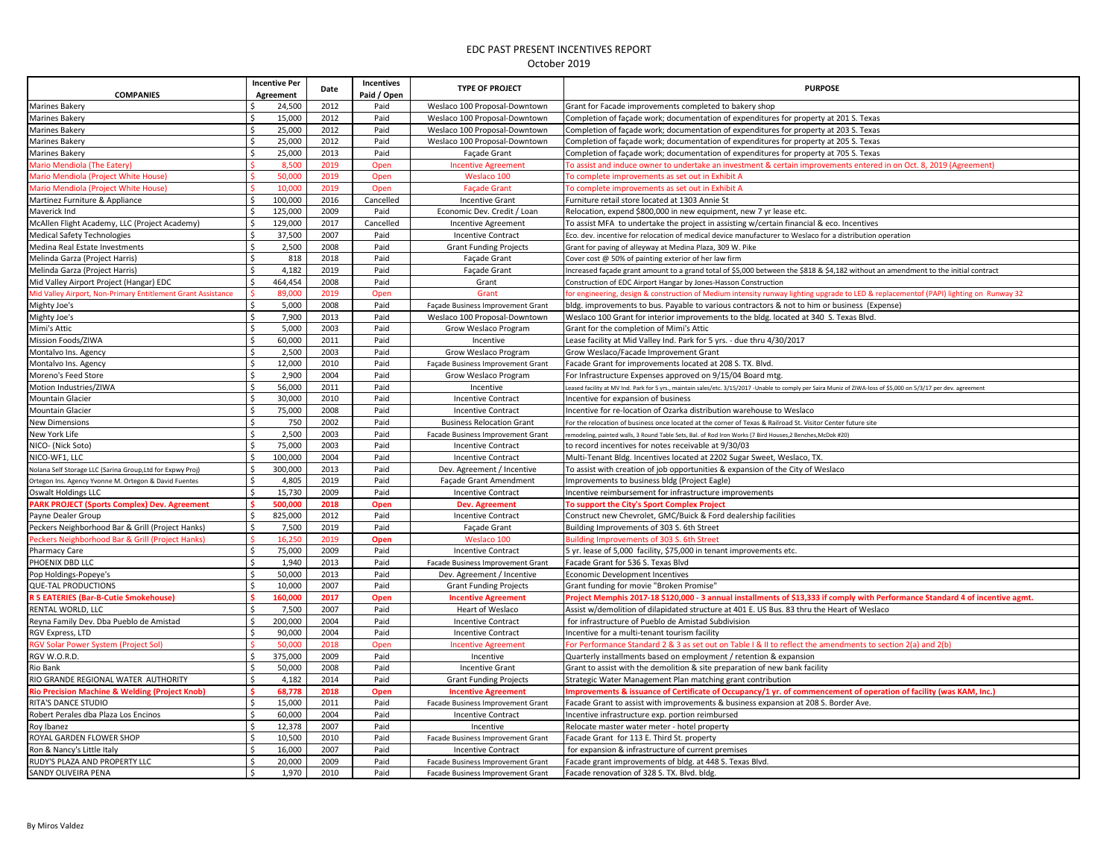|                                                              | <b>Incentive Per</b>        | Date         | Incentives  | <b>TYPE OF PROJECT</b>            | <b>PURPOSE</b>                                                                                                                                                   |
|--------------------------------------------------------------|-----------------------------|--------------|-------------|-----------------------------------|------------------------------------------------------------------------------------------------------------------------------------------------------------------|
| <b>COMPANIES</b>                                             | Agreement                   |              | Paid / Open |                                   |                                                                                                                                                                  |
| <b>Marines Bakery</b>                                        | 24,500<br>Ś                 | 2012         | Paid        | Weslaco 100 Proposal-Downtown     | Grant for Facade improvements completed to bakery shop                                                                                                           |
| Marines Bakery                                               | Ś.<br>15,000                | 2012         | Paid        | Weslaco 100 Proposal-Downtown     | Completion of façade work; documentation of expenditures for property at 201 S. Texas                                                                            |
| Marines Bakery                                               | Ś,<br>25,000                | 2012         | Paid        | Weslaco 100 Proposal-Downtown     | Completion of façade work; documentation of expenditures for property at 203 S. Texas                                                                            |
| Marines Bakery                                               | Ś.<br>25,000                | 2012         | Paid        | Weslaco 100 Proposal-Downtown     | Completion of façade work; documentation of expenditures for property at 205 S. Texas                                                                            |
| Marines Bakery                                               | 25,000<br>Ŝ.                | 2013         | Paid        | Façade Grant                      | Completion of façade work; documentation of expenditures for property at 705 S. Texas                                                                            |
| Mario Mendiola (The Eatery)                                  | 8.500                       | 2019         | Open        | <b>Incentive Agreement</b>        | To assist and induce owner to undertake an investment & certain improvements entered in on Oct. 8, 2019 (Agreement)                                              |
| Mario Mendiola (Project White House)                         | 50,000                      | 2019         | Open        | Weslaco 100                       | To complete improvements as set out in Exhibit A                                                                                                                 |
| Mario Mendiola (Proiect White House)                         | 10,000                      | 2019         | Open        | <b>Facade Grant</b>               | To complete improvements as set out in Exhibit A                                                                                                                 |
| Martinez Furniture & Appliance                               | Ś.<br>100,000               | 2016         | Cancelled   | <b>Incentive Grant</b>            | Furniture retail store located at 1303 Annie St                                                                                                                  |
| Maverick Ind                                                 | Ŝ.<br>125,000               | 2009         | Paid        | Economic Dev. Credit / Loan       | Relocation, expend \$800,000 in new equipment, new 7 yr lease etc.                                                                                               |
| McAllen Flight Academy, LLC (Project Academy)                | 129,000<br>\$               | 2017         | Cancelled   | Incentive Agreement               | To assist MFA to undertake the project in assisting w/certain financial & eco. Incentives                                                                        |
| <b>Medical Safety Technologies</b>                           | $\zeta$<br>37,500           | 2007         | Paid        | Incentive Contract                | Eco. dev. incentive for relocation of medical device manufacturer to Weslaco for a distribution operation                                                        |
| Medina Real Estate Investments                               | \$<br>2,500                 | 2008         | Paid        | <b>Grant Funding Projects</b>     | Grant for paving of alleyway at Medina Plaza, 309 W. Pike                                                                                                        |
| Melinda Garza (Project Harris)                               | 818<br>\$                   | 2018         | Paid        | Façade Grant                      | Cover cost @ 50% of painting exterior of her law firm                                                                                                            |
| Melinda Garza (Project Harris)                               | $\mathsf{\hat{S}}$<br>4,182 | 2019         | Paid        | Façade Grant                      | Increased façade grant amount to a grand total of \$5,000 between the \$818 & \$4,182 without an amendment to the initial contract                               |
| Mid Valley Airport Project (Hangar) EDC                      | Ŝ.<br>464,454               | 2008         | Paid        | Grant                             | Construction of EDC Airport Hangar by Jones-Hasson Construction                                                                                                  |
| Aid Valley Airport, Non-Primary Entitlement Grant Assistance | 89,000                      | 2019         | Open        | Grant                             | for engineering, design & construction of Medium intensity runway lighting upgrade to LED & replacementof (PAPI) lighting on Runway 32                           |
| Mighty Joe's                                                 | 5,000<br>Ŝ.                 | 2008         | Paid        | Façade Business Improvement Grant | bldg. improvements to bus. Payable to various contractors & not to him or business (Expense)                                                                     |
| Mighty Joe's                                                 | $\mathsf{\hat{S}}$<br>7,900 | 2013         | Paid        | Weslaco 100 Proposal-Downtown     | Weslaco 100 Grant for interior improvements to the bldg. located at 340 S. Texas Blvd.                                                                           |
| Mimi's Attic                                                 | \$<br>5.000                 | 2003         | Paid        | Grow Weslaco Program              | Grant for the completion of Mimi's Attic                                                                                                                         |
| Mission Foods/ZIWA                                           | \$<br>60,000                | 2011         | Paid        | Incentive                         | Lease facility at Mid Valley Ind. Park for 5 yrs. - due thru 4/30/2017                                                                                           |
| Montalvo Ins. Agency                                         | \$<br>2,500                 | 2003         | Paid        | Grow Weslaco Program              | Grow Weslaco/Facade Improvement Grant                                                                                                                            |
| Montalvo Ins. Agency                                         | Ś<br>12,000                 | 2010         | Paid        | Façade Business Improvement Grant | Facade Grant for improvements located at 208 S. TX. Blvd.                                                                                                        |
| Moreno's Feed Store                                          | \$<br>2,900                 | 2004         | Paid        | Grow Weslaco Program              | For Infrastructure Expenses approved on 9/15/04 Board mtg.                                                                                                       |
| Motion Industries/ZIWA                                       | \$<br>56,000                | 2011         | Paid        | Incentive                         | Leased facility at MV Ind. Park for 5 yrs., maintain sales/etc. 3/15/2017 -Unable to comply per Saira Muniz of ZIWA-loss of \$5,000 on 5/3/17 per dev. agreement |
| <b>Mountain Glacier</b>                                      | $\mathsf{S}$<br>30,000      | 2010         | Paid        | <b>Incentive Contract</b>         | Incentive for expansion of business                                                                                                                              |
| <b>Mountain Glacier</b>                                      | \$<br>75,000                | 2008         | Paid        | <b>Incentive Contract</b>         | Incentive for re-location of Ozarka distribution warehouse to Weslaco                                                                                            |
| <b>New Dimensions</b>                                        | Ŝ.<br>750                   | 2002         | Paid        | <b>Business Relocation Grant</b>  | For the relocation of business once located at the corner of Texas & Railroad St. Visitor Center future site                                                     |
| New York Life                                                | $\mathsf{s}$<br>2.500       | 2003         | Paid        | Facade Business Improvement Grant | remodeling, painted walls, 3 Round Table Sets, Bal. of Rod Iron Works (7 Bird Houses, 2 Benches, McDok #20)                                                      |
| NICO- (Nick Soto)                                            | $\zeta$<br>75,000           | 2003         | Paid        | <b>Incentive Contract</b>         | to record incentives for notes receivable at 9/30/03                                                                                                             |
| NICO-WF1, LLC                                                | \$<br>100,000               | 2004         | Paid        | <b>Incentive Contract</b>         | Multi-Tenant Bldg. Incentives located at 2202 Sugar Sweet, Weslaco, TX.                                                                                          |
| Nolana Self Storage LLC (Sarina Group, Ltd for Expwy Proj)   | \$<br>300,000               | 2013         | Paid        | Dev. Agreement / Incentive        | To assist with creation of job opportunities & expansion of the City of Weslaco                                                                                  |
| Ortegon Ins. Agency Yvonne M. Ortegon & David Fuentes        | Ŝ.<br>4,805                 | 2019         | Paid        | Facade Grant Amendment            | Improvements to business bldg (Project Eagle)                                                                                                                    |
| Oswalt Holdings LLC                                          | \$<br>15,730                | 2009         | Paid        | <b>Incentive Contract</b>         | Incentive reimbursement for infrastructure improvements                                                                                                          |
| <b>PARK PROJECT (Sports Complex) Dev. Agreement</b>          | Š.<br>500.000               | 2018         | Open        | <b>Dev. Agreement</b>             | To support the City's Sport Complex Project                                                                                                                      |
| Payne Dealer Group                                           | Ŝ.<br>825,000               | 2012         | Paid        | <b>Incentive Contract</b>         | Construct new Chevrolet, GMC/Buick & Ford dealership facilities                                                                                                  |
| Peckers Neighborhood Bar & Grill (Project Hanks)             | \$<br>7,500                 | 2019         | Paid        | <b>Facade Grant</b>               | Building Improvements of 303 S. 6th Street                                                                                                                       |
| Peckers Neighborhood Bar & Grill (Project Hanks)             | Š.<br>16,250                | 2019         | Open        | Weslaco 100                       | Building Improvements of 303 S. 6th Street                                                                                                                       |
| Pharmacy Care                                                | \$<br>75,000                | 2009         | Paid        | <b>Incentive Contract</b>         | 5 yr. lease of 5,000 facility, \$75,000 in tenant improvements etc.                                                                                              |
| PHOENIX DBD LLC                                              | $\mathsf{\$}$<br>1,940      | 2013         | Paid        | Facade Business Improvement Grant | Facade Grant for 536 S. Texas Blvd                                                                                                                               |
| Pop Holdings-Popeye's                                        | Ś<br>50,000                 | 2013         | Paid        | Dev. Agreement / Incentive        | Economic Development Incentives                                                                                                                                  |
| <b>QUE-TAL PRODUCTIONS</b>                                   | \$<br>10,000                | 2007         | Paid        | <b>Grant Funding Projects</b>     | Grant funding for movie "Broken Promise"                                                                                                                         |
| R 5 EATERIES (Bar-B-Cutie Smokehouse)                        | 160,000                     | 2017         | Open        | <b>Incentive Agreement</b>        | Project Memphis 2017-18 \$120,000 - 3 annual installments of \$13,333 if comply with Performance Standard 4 of incentive agmt.                                   |
| RENTAL WORLD, LLC                                            | Ś<br>7,500                  | 2007         | Paid        | Heart of Weslaco                  | Assist w/demolition of dilapidated structure at 401 E. US Bus. 83 thru the Heart of Weslaco                                                                      |
| Reyna Family Dev. Dba Pueblo de Amistad                      | Ś<br>200,000                | 2004         | Paid        | <b>Incentive Contract</b>         | for infrastructure of Pueblo de Amistad Subdivision                                                                                                              |
| RGV Express, LTD                                             | Ŝ.<br>90.000                | 2004         | Paid        | <b>Incentive Contract</b>         | Incentive for a multi-tenant tourism facility                                                                                                                    |
| <b>RGV Solar Power System (Project Sol)</b>                  | 50,000                      | 2018         | Open        | <b>Incentive Agreement</b>        | For Performance Standard 2 & 3 as set out on Table 1 & II to reflect the amendments to section 2(a) and 2(b)                                                     |
| RGV W.O.R.D.                                                 | \$<br>375,000               | 2009         | Paid        | Incentive                         | Quarterly installments based on employment / retention & expansion                                                                                               |
|                                                              | Ŝ.                          |              |             |                                   |                                                                                                                                                                  |
| Rio Bank                                                     | 50,000<br>\$<br>4,182       | 2008         | Paid        | <b>Incentive Grant</b>            | Grant to assist with the demolition & site preparation of new bank facility                                                                                      |
| RIO GRANDE REGIONAL WATER AUTHORITY                          | Ś<br>68,778                 | 2014<br>2018 | Paid        | <b>Grant Funding Projects</b>     | Strategic Water Management Plan matching grant contribution                                                                                                      |
| <b>Rio Precision Machine &amp; Welding (Project Knob)</b>    | \$<br>15,000                | 2011         | Open        | <b>Incentive Agreement</b>        | Improvements & issuance of Certificate of Occupancy/1 yr. of commencement of operation of facility (was KAM, Inc.)                                               |
| RITA'S DANCE STUDIO                                          | Ś                           |              | Paid        | Facade Business Improvement Grant | Facade Grant to assist with improvements & business expansion at 208 S. Border Ave.                                                                              |
| Robert Perales dba Plaza Los Encinos                         | 60,000<br>\$                | 2004         | Paid        | <b>Incentive Contract</b>         | Incentive infrastructure exp. portion reimbursed                                                                                                                 |
| Roy Ibanez                                                   | 12,378<br>Ś                 | 2007         | Paid        | Incentive                         | Relocate master water meter - hotel property                                                                                                                     |
| ROYAL GARDEN FLOWER SHOP                                     | 10,500<br>Ś                 | 2010         | Paid        | Facade Business Improvement Grant | Facade Grant for 113 E. Third St. property                                                                                                                       |
| Ron & Nancy's Little Italy                                   | 16,000<br>Ś                 | 2007         | Paid        | <b>Incentive Contract</b>         | for expansion & infrastructure of current premises                                                                                                               |
| RUDY'S PLAZA AND PROPERTY LLC                                | 20,000                      | 2009         | Paid        | Facade Business Improvement Grant | Facade grant improvements of bldg. at 448 S. Texas Blvd.                                                                                                         |
| SANDY OLIVEIRA PENA                                          | Ś<br>1,970                  | 2010         | Paid        | Facade Business Improvement Grant | Facade renovation of 328 S. TX. Blvd. bldg.                                                                                                                      |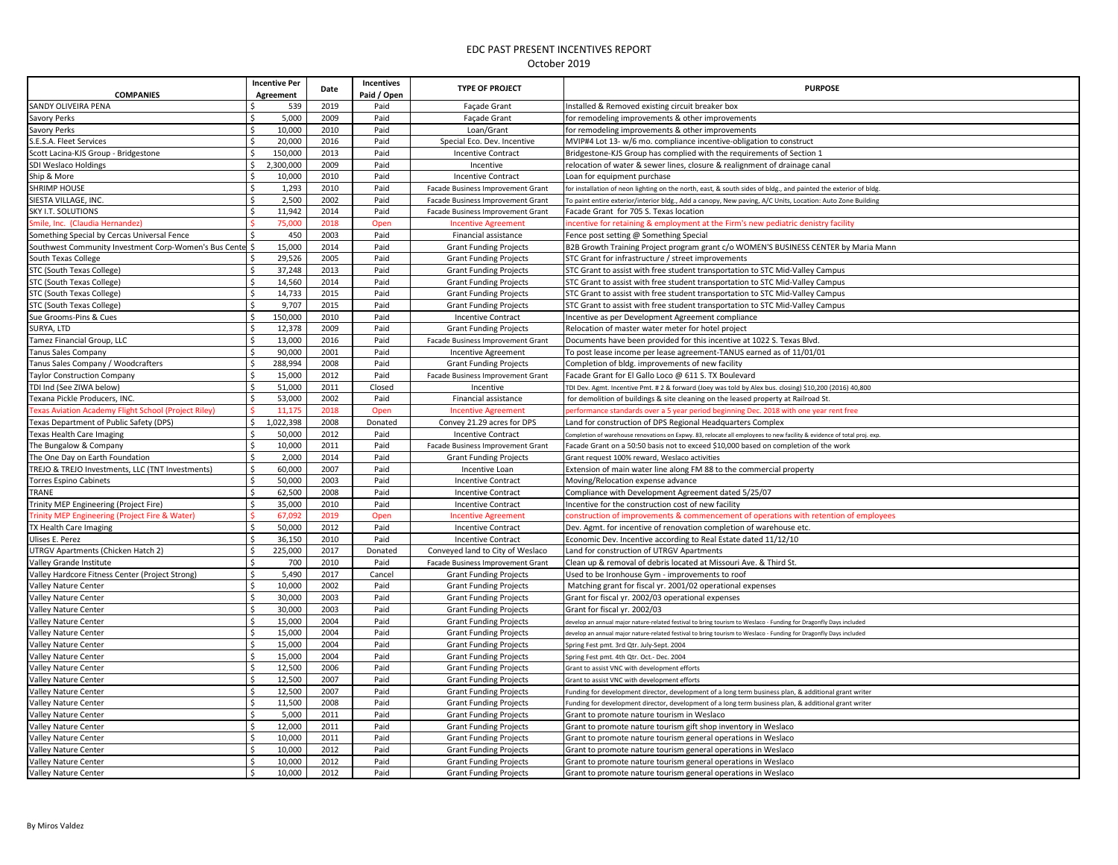| <b>COMPANIES</b>                                            | <b>Incentive Per</b><br>Agreement | Date | Incentives<br>Paid / Open | <b>TYPE OF PROJECT</b>            | <b>PURPOSE</b>                                                                                                         |
|-------------------------------------------------------------|-----------------------------------|------|---------------------------|-----------------------------------|------------------------------------------------------------------------------------------------------------------------|
| SANDY OLIVEIRA PENA                                         | 539                               | 2019 | Paid                      | Façade Grant                      | Installed & Removed existing circuit breaker box                                                                       |
| Savory Perks                                                | 5,000                             | 2009 | Paid                      | Façade Grant                      | for remodeling improvements & other improvements                                                                       |
| Savory Perks                                                | 10,000                            | 2010 | Paid                      | Loan/Grant                        | for remodeling improvements & other improvements                                                                       |
| S.E.S.A. Fleet Services                                     | 20,000                            | 2016 | Paid                      | Special Eco. Dev. Incentive       | MVIP#4 Lot 13- w/6 mo. compliance incentive-obligation to construct                                                    |
| Scott Lacina-KJS Group - Bridgestone                        | 150,000                           | 2013 | Paid                      | <b>Incentive Contract</b>         | Bridgestone-KJS Group has complied with the requirements of Section 1                                                  |
| SDI Weslaco Holdings                                        | 2,300,000                         | 2009 | Paid                      | Incentive                         | relocation of water & sewer lines, closure & realignment of drainage canal                                             |
| Ship & More                                                 | 10,000                            | 2010 | Paid                      | <b>Incentive Contract</b>         | Loan for equipment purchase                                                                                            |
| <b>SHRIMP HOUSE</b>                                         | -\$<br>1,293                      | 2010 | Paid                      | Facade Business Improvement Grant | for installation of neon lighting on the north, east, & south sides of bldg., and painted the exterior of bldg.        |
| SIESTA VILLAGE, INC.                                        | $\mathsf{\hat{S}}$<br>2,500       | 2002 | Paid                      | Facade Business Improvement Grant | To paint entire exterior/interior bldg., Add a canopy, New paving, A/C Units, Location: Auto Zone Building             |
| <b>SKY I.T. SOLUTIONS</b>                                   | 11,942<br><sup>\$</sup>           | 2014 | Paid                      | Facade Business Improvement Grant | Facade Grant for 705 S. Texas location                                                                                 |
| smile, Inc. (Claudia Hernandez)                             | 75,000                            | 2018 | Open                      | <b>Incentive Agreement</b>        | incentive for retaining & employment at the Firm's new pediatric denistry facility                                     |
| Something Special by Cercas Universal Fence                 | $\hat{\varsigma}$<br>450          | 2003 | Paid                      | Financial assistance              | Fence post setting @ Something Special                                                                                 |
| Southwest Community Investment Corp-Women's Bus Cente \$    | 15,000                            | 2014 | Paid                      | <b>Grant Funding Projects</b>     | B2B Growth Training Project program grant c/o WOMEN'S BUSINESS CENTER by Maria Mann                                    |
| South Texas College                                         | \$<br>29,526                      | 2005 | Paid                      | <b>Grant Funding Projects</b>     | STC Grant for infrastructure / street improvements                                                                     |
| STC (South Texas College)                                   | Ŝ.<br>37,248                      | 2013 | Paid                      | <b>Grant Funding Projects</b>     | STC Grant to assist with free student transportation to STC Mid-Valley Campus                                          |
| STC (South Texas College)                                   | 14,560<br>-\$                     | 2014 | Paid                      | <b>Grant Funding Projects</b>     | STC Grant to assist with free student transportation to STC Mid-Valley Campus                                          |
| STC (South Texas College)                                   | Ś<br>14,733                       | 2015 | Paid                      | <b>Grant Funding Projects</b>     | STC Grant to assist with free student transportation to STC Mid-Valley Campus                                          |
| STC (South Texas College)                                   | Ŝ.<br>9,707                       | 2015 | Paid                      | <b>Grant Funding Projects</b>     | STC Grant to assist with free student transportation to STC Mid-Valley Campus                                          |
| Sue Grooms-Pins & Cues                                      | Ŝ.<br>150,000                     | 2010 | Paid                      | <b>Incentive Contract</b>         | Incentive as per Development Agreement compliance                                                                      |
| SURYA, LTD                                                  | Ŝ.<br>12,378                      | 2009 | Paid                      | <b>Grant Funding Projects</b>     | Relocation of master water meter for hotel project                                                                     |
| Tamez Financial Group, LLC                                  | <sup>\$</sup><br>13,000           | 2016 | Paid                      | Facade Business Improvement Grant | Documents have been provided for this incentive at 1022 S. Texas Blvd.                                                 |
|                                                             | Ŝ.<br>90,000                      | 2001 | Paid                      |                                   | To post lease income per lease agreement-TANUS earned as of 11/01/01                                                   |
| <b>Tanus Sales Company</b>                                  | <sup>\$</sup>                     | 2008 | Paid                      | Incentive Agreement               |                                                                                                                        |
| Tanus Sales Company / Woodcrafters                          | 288,994<br>Ŝ.                     |      | Paid                      | <b>Grant Funding Projects</b>     | Completion of bldg. improvements of new facility                                                                       |
| <b>Taylor Construction Company</b>                          | 15,000                            | 2012 |                           | Facade Business Improvement Grant | Facade Grant for El Gallo Loco @ 611 S. TX Boulevard                                                                   |
| TDI Ind (See ZIWA below)                                    | Ŝ.<br>51.000                      | 2011 | Closed                    | Incentive                         | TDI Dev. Agmt. Incentive Pmt. # 2 & forward (Joey was told by Alex bus. closing) \$10,200 (2016) 40,800                |
| Texana Pickle Producers, INC.                               | Ŝ.<br>53,000                      | 2002 | Paid                      | Financial assistance              | for demolition of buildings & site cleaning on the leased property at Railroad St                                      |
| <b>Texas Aviation Academy Flight School (Project Riley)</b> | 11,175                            | 2018 | Open                      | <b>Incentive Agreement</b>        | erformance standards over a 5 year period beginning Dec. 2018 with one year rent free                                  |
| Texas Department of Public Safety (DPS)                     | 1,022,398<br>$\mathsf{S}$         | 2008 | Donated                   | Convey 21.29 acres for DPS        | Land for construction of DPS Regional Headquarters Complex                                                             |
| <b>Texas Health Care Imaging</b>                            | Ś<br>50,000                       | 2012 | Paid                      | <b>Incentive Contract</b>         | ompletion of warehouse renovations on Expwy. 83, relocate all employees to new facility & evidence of total proj. exp. |
| The Bungalow & Company                                      | \$<br>10,000<br>Ś                 | 2011 | Paid                      | Facade Business Improvement Grant | Facade Grant on a 50:50 basis not to exceed \$10,000 based on completion of the work                                   |
| The One Day on Earth Foundation                             | 2,000<br>Ś                        | 2014 | Paid                      | <b>Grant Funding Projects</b>     | Grant request 100% reward, Weslaco activities                                                                          |
| TREJO & TREJO Investments, LLC (TNT Investments)            | 60,000                            | 2007 | Paid                      | Incentive Loan                    | Extension of main water line along FM 88 to the commercial property                                                    |
| Torres Espino Cabinets                                      | 50,000                            | 2003 | Paid                      | <b>Incentive Contract</b>         | Moving/Relocation expense advance                                                                                      |
| TRANE                                                       | .\$<br>62,500                     | 2008 | Paid                      | <b>Incentive Contract</b>         | Compliance with Development Agreement dated 5/25/07                                                                    |
| Trinity MEP Engineering (Project Fire)                      | 35,000                            | 2010 | Paid                      | <b>Incentive Contract</b>         | Incentive for the construction cost of new facility                                                                    |
| Trinity MEP Engineering (Project Fire & Water)              | 67.092                            | 2019 | Open                      | <b>Incentive Agreement</b>        | construction of improvements & commencement of operations with retention of employees                                  |
| TX Health Care Imaging                                      | 50,000                            | 2012 | Paid                      | <b>Incentive Contract</b>         | Dev. Agmt. for incentive of renovation completion of warehouse etc.                                                    |
| Ulises E. Perez                                             | 36,150                            | 2010 | Paid                      | <b>Incentive Contract</b>         | Economic Dev. Incentive according to Real Estate dated 11/12/10                                                        |
| UTRGV Apartments (Chicken Hatch 2)                          | 225,000                           | 2017 | Donated                   | Conveyed land to City of Weslaco  | Land for construction of UTRGV Apartments                                                                              |
| Valley Grande Institute                                     | 700<br>Ŝ.                         | 2010 | Paid                      | Facade Business Improvement Grant | Clean up & removal of debris located at Missouri Ave. & Third St.                                                      |
| Valley Hardcore Fitness Center (Project Strong)             | \$<br>5,490                       | 2017 | Cancel                    | <b>Grant Funding Projects</b>     | Used to be Ironhouse Gym - improvements to roof                                                                        |
| Valley Nature Center                                        | Ś<br>10,000                       | 2002 | Paid                      | <b>Grant Funding Projects</b>     | Matching grant for fiscal yr. 2001/02 operational expenses                                                             |
| Valley Nature Center                                        | $\hat{\varsigma}$<br>30,000       | 2003 | Paid                      | <b>Grant Funding Projects</b>     | Grant for fiscal yr. 2002/03 operational expenses                                                                      |
| Valley Nature Center                                        | Ś<br>30,000                       | 2003 | Paid                      | <b>Grant Funding Projects</b>     | Grant for fiscal yr. 2002/03                                                                                           |
| <b>Valley Nature Center</b>                                 | <sup>\$</sup><br>15,000           | 2004 | Paid                      | <b>Grant Funding Projects</b>     | develop an annual major nature-related festival to bring tourism to Weslaco - Funding for Dragonfly Days included      |
| Valley Nature Center                                        | 15,000<br><sup>\$</sup>           | 2004 | Paid                      | <b>Grant Funding Projects</b>     | develop an annual major nature-related festival to bring tourism to Weslaco - Funding for Dragonfly Days included      |
| Valley Nature Center                                        | 15,000<br><sup>\$</sup>           | 2004 | Paid                      | <b>Grant Funding Projects</b>     | Spring Fest pmt. 3rd Qtr. July-Sept. 2004                                                                              |
| Valley Nature Center                                        | 15,000                            | 2004 | Paid                      | <b>Grant Funding Projects</b>     | Spring Fest pmt. 4th Qtr. Oct.- Dec. 2004                                                                              |
| Valley Nature Center                                        | <sup>\$</sup><br>12,500           | 2006 | Paid                      | <b>Grant Funding Projects</b>     | Grant to assist VNC with development efforts                                                                           |
| Valley Nature Center                                        | <sup>\$</sup><br>12,500           | 2007 | Paid                      | <b>Grant Funding Projects</b>     | Grant to assist VNC with development efforts                                                                           |
| Valley Nature Center                                        | \$<br>12,500                      | 2007 | Paid                      | <b>Grant Funding Projects</b>     | Funding for development director, development of a long term business plan, & additional grant writer                  |
| Valley Nature Center                                        | 11,500<br><sup>\$</sup>           | 2008 | Paid                      | <b>Grant Funding Projects</b>     | Funding for development director, development of a long term business plan, & additional grant writer                  |
| Valley Nature Center                                        | -\$<br>5,000                      | 2011 | Paid                      | <b>Grant Funding Projects</b>     | Grant to promote nature tourism in Weslaco                                                                             |
| Valley Nature Center                                        | 12,000<br>-\$                     | 2011 | Paid                      | <b>Grant Funding Projects</b>     | Grant to promote nature tourism gift shop inventory in Weslaco                                                         |
| Valley Nature Center                                        | \$<br>10,000                      | 2011 | Paid                      | <b>Grant Funding Projects</b>     | Grant to promote nature tourism general operations in Weslaco                                                          |
| Valley Nature Center                                        | <sup>\$</sup><br>10,000           | 2012 | Paid                      | <b>Grant Funding Projects</b>     | Grant to promote nature tourism general operations in Weslaco                                                          |
| Valley Nature Center                                        | $\zeta$<br>10,000                 | 2012 | Paid                      | <b>Grant Funding Projects</b>     | Grant to promote nature tourism general operations in Weslaco                                                          |
| Valley Nature Center                                        | $\zeta$<br>10,000                 | 2012 | Paid                      | <b>Grant Funding Projects</b>     | Grant to promote nature tourism general operations in Weslaco                                                          |